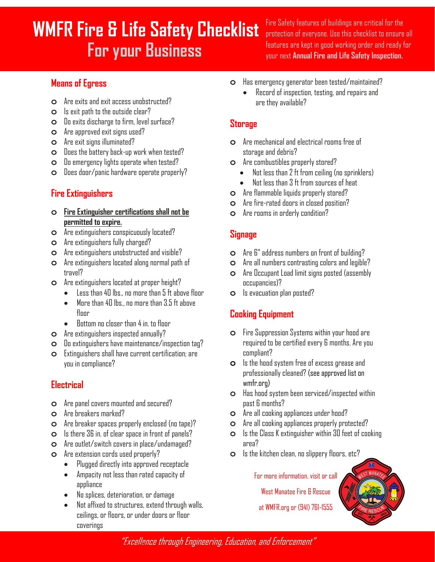# **WMFR Fire & Life Safety Checklist For your Business**

Fire Safety features of buildings are critical for the protection of everyone. Use this checklist to ensure all features are kept in good working order and ready for your next **Annual Fire and Life Safety Inspection.**

#### **Means of Egress**

- **o** Are exits and exit access unobstructed?
- **o** Is exit path to the outside clear?
- **o** Do exits discharge to firm, level surface?
- **o** Are approved exit signs used?
- **o** Are exit signs illuminated?
- **o** Does the battery back-up work when tested?
- **o** Do emergency lights operate when tested?
- **o** Does door/panic hardware operate properly?

## **Fire Extinguishers**

- **o Fire Extinguisher certifications shall not be permitted to expire.**
- **o** Are extinguishers conspicuously located?
- **o** Are extinguishers fully charged?
- **o** Are extinguishers unobstructed and visible?
- **o** Are extinguishers located along normal path of travel?
- **o** Are extinguishers located at proper height?
	- Less than 40 lbs., no more than 5 ft above floor
	- $\bullet$  More than 40 lbs., no more than  $3.5$  ft above floor
	- Bottom no closer than 4 in. to floor
- **o** Are extinguishers inspected annually?
- **o** Do extinguishers have maintenance/inspection tag?
- **o** Extinguishers shall have current certification; are you in compliance?

#### **Electrical**

- **o** Are panel covers mounted and secured?
- **o** Are breakers marked?
- **o** Are breaker spaces properly enclosed (no tape)?
- **o** Is there 36 in. of clear space in front of panels?
- **o** Are outlet/switch covers in place/undamaged?
- **o** Are extension cords used properly?
	- Plugged directly into approved receptacle
	- Ampacity not less than rated capacity of appliance
	- No splices, deterioration, or damage
	- Not affixed to structures, extend through walls, ceilings, or floors, or under doors or floor coverings
- **o** Has emergency generator been tested/maintained?
	- Record of inspection, testing, and repairs and are they available?

#### **Storage**

- **o** Are mechanical and electrical rooms free of storage and debris?
- **o** Are combustibles properly stored?
	- Not less than 2 ft from ceiling (no sprinklers)
	- Not less than 3 ft from sources of heat
- **o** Are flammable liquids properly stored?
- **o** Are fire-rated doors in closed position?
- **o** Are rooms in orderly condition?

#### **Signage**

- **o** Are 6" address numbers on front of building?
- **o** Are all numbers contrasting colors and legible?
- **o** Are Occupant Load limit signs posted (assembly occupancies)?
- **o** Is evacuation plan posted?

# **Cooking Equipment**

- **o** Fire Suppression Systems within your hood are required to be certified every 6 months. Are you compliant?
- **o** Is the hood system free of excess grease and professionally cleaned? (see approved list on wmfr.org)
- **o** Has hood system been serviced/inspected within past 6 months?
- **o** Are all cooking appliances under hood?
- **o** Are all cooking appliances properly protected?
- **o** Is the Class K extinguisher within 30 feet of cooking area?
- **o** Is the kitchen clean, no slippery floors, etc?

For more information, visit or call

West Manatee Fire & Rescue

at WMFR.org or (941) 761-1555

"Excellence through Engineering, Education, and Enforcement" For more information, visit or call